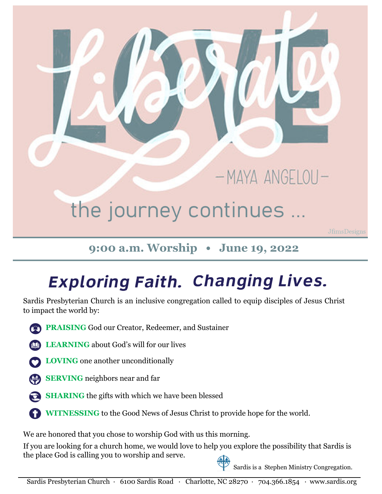# -MAYA ANGELOU-

# the journey continues ...

JfimsDesigns

# **9:00 a.m. Worship • June 19, 2022**

# **Exploring Faith. Changing Lives.**

Sardis Presbyterian Church is an inclusive congregation called to equip disciples of Jesus Christ to impact the world by:

- **PRAISING** God our Creator, Redeemer, and Sustainer
- **LEARNING** about God's will for our lives
- **LOVING** one another unconditionally
- **SERVING** neighbors near and far
- **SHARING** the gifts with which we have been blessed
- **WITNESSING** to the Good News of Jesus Christ to provide hope for the world.

We are honored that you chose to worship God with us this morning.

If you are looking for a church home, we would love to help you explore the possibility that Sardis is the place God is calling you to worship and serve.

Sardis is a Stephen Ministry Congregation.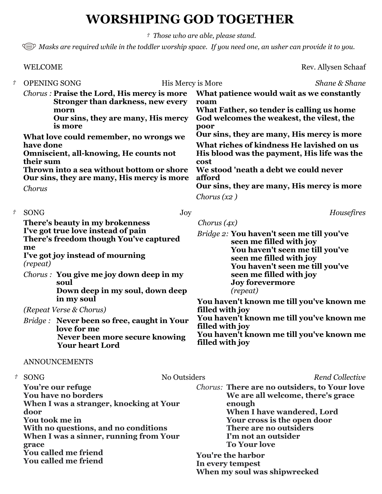# **WORSHIPING GOD TOGETHER**

*† Those who are able, please stand.* 

*Masks are required while in the toddler worship space. If you need one, an usher can provide it to you.* 

WELCOME Rev. Allysen Schaaf

| $\pm$ | <b>OPENING SONG</b>                                                                                                                                                                                                                                                                                                                                                        | His Mercy is More |                                                                                                                                                                                                                                                                                                                                                                                                                         | Shane & Shane |
|-------|----------------------------------------------------------------------------------------------------------------------------------------------------------------------------------------------------------------------------------------------------------------------------------------------------------------------------------------------------------------------------|-------------------|-------------------------------------------------------------------------------------------------------------------------------------------------------------------------------------------------------------------------------------------------------------------------------------------------------------------------------------------------------------------------------------------------------------------------|---------------|
|       | <i>Chorus : Praise the Lord, His mercy is more</i><br><b>Stronger than darkness, new every</b><br>morn<br>Our sins, they are many, His mercy<br>is more<br>What love could remember, no wrongs we<br>have done<br>Omniscient, all-knowing, He counts not<br>their sum<br>Thrown into a sea without bottom or shore<br>Our sins, they are many, His mercy is more<br>Chorus |                   | What patience would wait as we constantly<br>roam<br>What Father, so tender is calling us home<br>God welcomes the weakest, the vilest, the<br>poor<br>Our sins, they are many, His mercy is more<br>What riches of kindness He lavished on us<br>His blood was the payment, His life was the<br>cost<br>We stood 'neath a debt we could never<br>afford<br>Our sins, they are many, His mercy is more<br>Chorus $(x2)$ |               |

### *†* SONG Joy *Housefires*

**There's beauty in my brokenness I've got true love instead of pain There's freedom though You've captured me** 

**I've got joy instead of mourning**  *(repeat)* 

*Chorus :* **You give me joy down deep in my soul Down deep in my soul, down deep in my soul** 

*(Repeat Verse & Chorus)* 

*Bridge :* **Never been so free, caught in Your love for me Never been more secure knowing Your heart Lord** 

### ANNOUNCEMENTS

*†* SONG No Outsiders *Rend Collective* **You're our refuge You have no borders When I was a stranger, knocking at Your door You took me in With no questions, and no conditions When I was a sinner, running from Your grace You called me friend You called me friend** *Chorus:* **There are no outsiders, to Your love We are all welcome, there's grace enough When I have wandered, Lord Your cross is the open door There are no outsiders I'm not an outsider To Your love You're the harbor In every tempest** 

**When my soul was shipwrecked** 

*Chorus (4x) Bridge 2:* **You haven't seen me till you've seen me filled with joy You haven't seen me till you've seen me filled with joy You haven't seen me till you've seen me filled with joy Joy forevermore**   *(repeat)* 

**You haven't known me till you've known me filled with joy You haven't known me till you've known me filled with joy You haven't known me till you've known me filled with joy**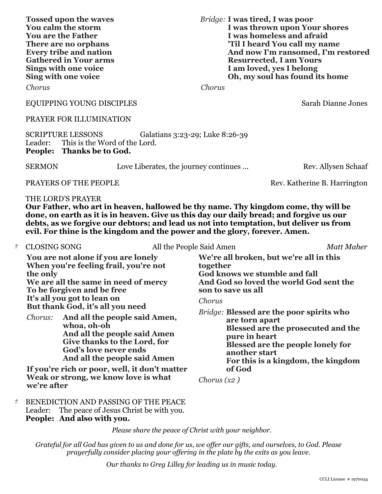**Tossed upon the waves You calm the storm You are the Father There are no orphans Every tribe and nation Gathered in Your arms Sings with one voice Sing with one voice**

*Chorus*

*Bridge:* **I was tired, I was poor I was thrown upon Your shores I was homeless and afraid 'Til I heard You call my name And now I'm ransomed, I'm restored Resurrected, I am Yours I am loved, yes I belong Oh, my soul has found its home**

*Chorus* 

## EQUIPPING YOUNG DISCIPLES Sarah Dianne Jones

PRAYER FOR ILLUMINATION

 SCRIPTURE LESSONS Galatians 3:23-29; Luke 8:26-39 Leader: This is the Word of the Lord. **People: Thanks be to God.** 

SERMON Love Liberates, the journey continues ... Rev. Allysen Schaaf

PRAYERS OF THE PEOPLE **Rev. Katherine B. Harrington** 

THE LORD'S PRAYER

**Our Father, who art in heaven, hallowed be thy name. Thy kingdom come, thy will be done, on earth as it is in heaven. Give us this day our daily bread; and forgive us our debts, as we forgive our debtors; and lead us not into temptation, but deliver us from evil. For thine is the kingdom and the power and the glory, forever. Amen.** 

| $^{\prime}$ | <b>CLOSING SONG</b>                                                                                                                                                                                                                                                                  |                                                                                                                               | All the People Said Amen                                                                                                                                                                                                                                                                                                                                                                              | Matt Maher |
|-------------|--------------------------------------------------------------------------------------------------------------------------------------------------------------------------------------------------------------------------------------------------------------------------------------|-------------------------------------------------------------------------------------------------------------------------------|-------------------------------------------------------------------------------------------------------------------------------------------------------------------------------------------------------------------------------------------------------------------------------------------------------------------------------------------------------------------------------------------------------|------------|
|             | You are not alone if you are lonely<br>When you're feeling frail, you're not<br>the only<br>We are all the same in need of mercy<br>To be forgiven and be free<br>It's all you got to lean on<br>But thank God, it's all you need<br>Chorus:<br>whoa, oh-oh<br>God's love never ends | And all the people said Amen,<br>And all the people said Amen<br>Give thanks to the Lord, for<br>And all the people said Amen | We're all broken, but we're all in this<br>together<br><b>God knows we stumble and fall</b><br>And God so loved the world God sent the<br>son to save us all<br>Chorus<br><i>Bridge:</i> Blessed are the poor spirits who<br>are torn apart<br>Blessed are the prosecuted and the<br>pure in heart<br><b>Blessed are the people lonely for</b><br>another start<br>For this is a kingdom, the kingdom |            |
|             | If you're rich or poor, well, it don't matter<br>Weak or strong, we know love is what<br>we're after                                                                                                                                                                                 |                                                                                                                               | of God<br>Chorus $(x2)$                                                                                                                                                                                                                                                                                                                                                                               |            |

*†* BENEDICTION AND PASSING OF THE PEACE Leader: The peace of Jesus Christ be with you. **People: And also with you.** 

*Please share the peace of Christ with your neighbor.* 

*Grateful for all God has given to us and done for us, we offer our gifts, and ourselves, to God. Please prayerfully consider placing your offering in the plate by the exits as you leave.* 

*Our thanks to Greg Lilley for leading us in music today.*